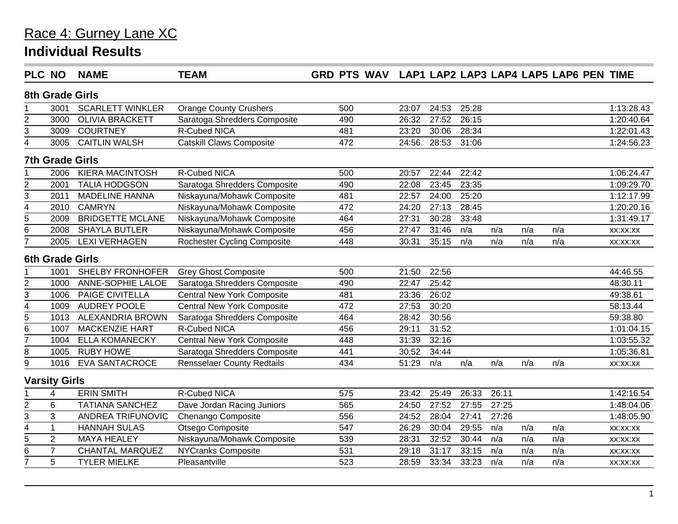| <b>PLC NO</b>             |                      | <b>NAME</b>             | <b>TEAM</b>                        | GRD PTS WAV LAP1 LAP2 LAP3 LAP4 LAP5 LAP6 PEN TIME |       |       |       |       |     |     |            |  |  |
|---------------------------|----------------------|-------------------------|------------------------------------|----------------------------------------------------|-------|-------|-------|-------|-----|-----|------------|--|--|
| <b>8th Grade Girls</b>    |                      |                         |                                    |                                                    |       |       |       |       |     |     |            |  |  |
|                           | 3001                 | <b>SCARLETT WINKLER</b> | <b>Orange County Crushers</b>      | 500                                                | 23:07 | 24:53 | 25:28 |       |     |     | 1:13:28.43 |  |  |
| $\overline{2}$            | 3000                 | <b>OLIVIA BRACKETT</b>  | Saratoga Shredders Composite       | 490                                                | 26:32 | 27:52 | 26:15 |       |     |     | 1:20:40.64 |  |  |
| 3                         | 3009                 | <b>COURTNEY</b>         | R-Cubed NICA                       | 481                                                | 23:20 | 30:06 | 28:34 |       |     |     | 1:22:01.43 |  |  |
| 4                         | 3005                 | <b>CAITLIN WALSH</b>    | <b>Catskill Claws Composite</b>    | 472                                                | 24:56 | 28:53 | 31:06 |       |     |     | 1:24:56.23 |  |  |
|                           |                      | <b>7th Grade Girls</b>  |                                    |                                                    |       |       |       |       |     |     |            |  |  |
|                           | 2006                 | <b>KIERA MACINTOSH</b>  | <b>R-Cubed NICA</b>                | 500                                                | 20:57 | 22:44 | 22:42 |       |     |     | 1:06:24.47 |  |  |
| $\overline{2}$            | 2001                 | <b>TALIA HODGSON</b>    | Saratoga Shredders Composite       | 490                                                | 22:08 | 23:45 | 23:35 |       |     |     | 1:09:29.70 |  |  |
| 3                         | 2011                 | <b>MADELINE HANNA</b>   | Niskayuna/Mohawk Composite         | 481                                                | 22:57 | 24:00 | 25:20 |       |     |     | 1:12:17.99 |  |  |
| $\overline{\mathbf{4}}$   | 2010                 | <b>CAMRYN</b>           | Niskayuna/Mohawk Composite         | 472                                                | 24:20 | 27:13 | 28:45 |       |     |     | 1:20:20.16 |  |  |
| 5                         | 2009                 | <b>BRIDGETTE MCLANE</b> | Niskayuna/Mohawk Composite         | 464                                                | 27:31 | 30:28 | 33:48 |       |     |     | 1:31:49.17 |  |  |
| 6                         | 2008                 | <b>SHAYLA BUTLER</b>    | Niskayuna/Mohawk Composite         | 456                                                | 27:47 | 31:46 | n/a   | n/a   | n/a | n/a | XX:XX:XX   |  |  |
| $\overline{7}$            | 2005                 | <b>LEXI VERHAGEN</b>    | <b>Rochester Cycling Composite</b> | 448                                                | 30:31 | 35:15 | n/a   | n/a   | n/a | n/a | XX:XX:XX   |  |  |
|                           |                      | <b>6th Grade Girls</b>  |                                    |                                                    |       |       |       |       |     |     |            |  |  |
|                           | 1001                 | SHELBY FRONHOFER        | <b>Grey Ghost Composite</b>        | 500                                                | 21:50 | 22:56 |       |       |     |     | 44:46.55   |  |  |
| $\overline{2}$            | 1000                 | ANNE-SOPHIE LALOE       | Saratoga Shredders Composite       | 490                                                | 22:47 | 25:42 |       |       |     |     | 48:30.11   |  |  |
| $\sqrt{3}$                | 1006                 | PAIGE CIVITELLA         | <b>Central New York Composite</b>  | 481                                                | 23:36 | 26:02 |       |       |     |     | 49:38.61   |  |  |
| 4                         | 1009                 | <b>AUDREY POOLE</b>     | <b>Central New York Composite</b>  | 472                                                | 27:53 | 30:20 |       |       |     |     | 58:13.44   |  |  |
| 5                         | 1013                 | <b>ALEXANDRIA BROWN</b> | Saratoga Shredders Composite       | 464                                                | 28:42 | 30:56 |       |       |     |     | 59:38.80   |  |  |
| 6                         | 1007                 | <b>MACKENZIE HART</b>   | R-Cubed NICA                       | 456                                                | 29:11 | 31:52 |       |       |     |     | 1:01:04.15 |  |  |
| $\overline{7}$            | 1004                 | <b>ELLA KOMANECKY</b>   | <b>Central New York Composite</b>  | 448                                                | 31:39 | 32:16 |       |       |     |     | 1:03:55.32 |  |  |
| 8                         | 1005                 | <b>RUBY HOWE</b>        | Saratoga Shredders Composite       | 441                                                | 30:52 | 34:44 |       |       |     |     | 1:05:36.81 |  |  |
| 9                         | 1016                 | <b>EVA SANTACROCE</b>   | <b>Rensselaer County Redtails</b>  | 434                                                | 51:29 | n/a   | n/a   | n/a   | n/a | n/a | XX:XX:XX   |  |  |
|                           | <b>Varsity Girls</b> |                         |                                    |                                                    |       |       |       |       |     |     |            |  |  |
|                           | 4                    | <b>ERIN SMITH</b>       | <b>R-Cubed NICA</b>                | 575                                                | 23:42 | 25:49 | 26:33 | 26:11 |     |     | 1:42:16.54 |  |  |
| $\overline{2}$            | 6                    | <b>TATIANA SANCHEZ</b>  | Dave Jordan Racing Juniors         | 565                                                | 24:50 | 27:52 | 27:55 | 27:25 |     |     | 1:48:04.06 |  |  |
| $\ensuremath{\mathsf{3}}$ | 3                    | ANDREA TRIFUNOVIC       | Chenango Composite                 | 556                                                | 24:52 | 28:04 | 27:41 | 27:26 |     |     | 1:48:05.90 |  |  |
| $\overline{\mathbf{4}}$   | $\mathbf{1}$         | <b>HANNAH SULAS</b>     | Otsego Composite                   | 547                                                | 26:29 | 30:04 | 29:55 | n/a   | n/a | n/a | XX:XX:XX   |  |  |
| $\overline{5}$            | 2                    | <b>MAYA HEALEY</b>      | Niskayuna/Mohawk Composite         | 539                                                | 28:31 | 32:52 | 30:44 | n/a   | n/a | n/a | XX:XX:XX   |  |  |
| 6                         | $\overline{7}$       | <b>CHANTAL MARQUEZ</b>  | <b>NYCranks Composite</b>          | 531                                                | 29:18 | 31:17 | 33:15 | n/a   | n/a | n/a | XX:XX:XX   |  |  |
| 7                         | 5                    | <b>TYLER MIELKE</b>     | Pleasantville                      | 523                                                | 28:59 | 33:34 | 33:23 | n/a   | n/a | n/a | XX:XX:XX   |  |  |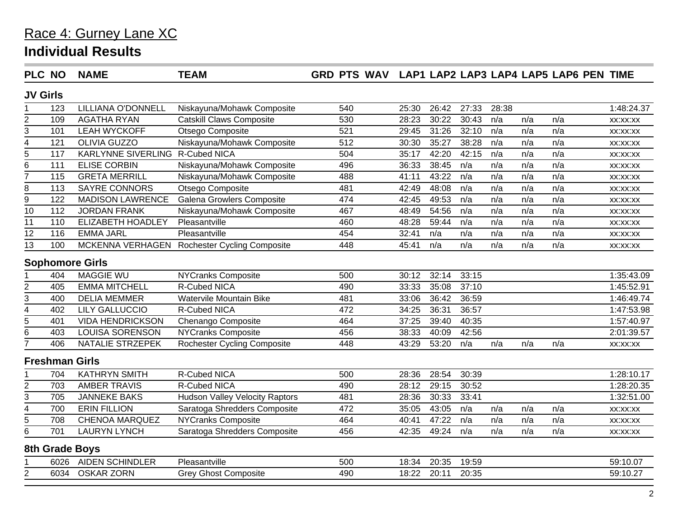| PLC NO                  |      | <b>NAME</b>                     | <b>TEAM</b>                           | GRD PTS WAV LAP1 LAP2 LAP3 LAP4 LAP5 LAP6 PEN TIME |       |       |       |       |     |     |            |
|-------------------------|------|---------------------------------|---------------------------------------|----------------------------------------------------|-------|-------|-------|-------|-----|-----|------------|
| <b>JV Girls</b>         |      |                                 |                                       |                                                    |       |       |       |       |     |     |            |
|                         | 123  | LILLIANA O'DONNELL              | Niskayuna/Mohawk Composite            | 540                                                | 25:30 | 26:42 | 27:33 | 28:38 |     |     | 1:48:24.37 |
| 2                       | 109  | <b>AGATHA RYAN</b>              | <b>Catskill Claws Composite</b>       | 530                                                | 28:23 | 30:22 | 30:43 | n/a   | n/a | n/a | XX:XX:XX   |
| 3                       | 101  | <b>LEAH WYCKOFF</b>             | Otsego Composite                      | 521                                                | 29:45 | 31:26 | 32:10 | n/a   | n/a | n/a | XX:XX:XX   |
| 4                       | 121  | <b>OLIVIA GUZZO</b>             | Niskayuna/Mohawk Composite            | 512                                                | 30:30 | 35:27 | 38:28 | n/a   | n/a | n/a | XX:XX:XX   |
| 5                       | 117  | KARLYNNE SIVERLING R-Cubed NICA |                                       | 504                                                | 35:17 | 42:20 | 42:15 | n/a   | n/a | n/a | XX:XX:XX   |
| 6                       | 111  | <b>ELISE CORBIN</b>             | Niskayuna/Mohawk Composite            | 496                                                | 36:33 | 38:45 | n/a   | n/a   | n/a | n/a | XX:XX:XX   |
| $\overline{7}$          | 115  | <b>GRETA MERRILL</b>            | Niskayuna/Mohawk Composite            | 488                                                | 41:11 | 43:22 | n/a   | n/a   | n/a | n/a | XX:XX:XX   |
| 8                       | 113  | <b>SAYRE CONNORS</b>            | Otsego Composite                      | 481                                                | 42:49 | 48:08 | n/a   | n/a   | n/a | n/a | XX:XX:XX   |
| 9                       | 122  | <b>MADISON LAWRENCE</b>         | <b>Galena Growlers Composite</b>      | 474                                                | 42:45 | 49:53 | n/a   | n/a   | n/a | n/a | XX:XX:XX   |
| 10                      | 112  | <b>JORDAN FRANK</b>             | Niskayuna/Mohawk Composite            | 467                                                | 48:49 | 54:56 | n/a   | n/a   | n/a | n/a | XX:XX:XX   |
| 11                      | 110  | ELIZABETH HOADLEY               | Pleasantville                         | 460                                                | 48:28 | 59:44 | n/a   | n/a   | n/a | n/a | XX:XX:XX   |
| 12                      | 116  | <b>EMMA JARL</b>                | Pleasantville                         | 454                                                | 32:41 | n/a   | n/a   | n/a   | n/a | n/a | XX:XX:XX   |
| $\overline{13}$         | 100  | MCKENNA VERHAGEN                | <b>Rochester Cycling Composite</b>    | 448                                                | 45:41 | n/a   | n/a   | n/a   | n/a | n/a | XX:XX:XX   |
|                         |      | <b>Sophomore Girls</b>          |                                       |                                                    |       |       |       |       |     |     |            |
|                         | 404  | <b>MAGGIE WU</b>                | <b>NYCranks Composite</b>             | 500                                                | 30:12 | 32:14 | 33:15 |       |     |     | 1:35:43.09 |
| $\overline{2}$          | 405  | <b>EMMA MITCHELL</b>            | <b>R-Cubed NICA</b>                   | 490                                                | 33:33 | 35:08 | 37:10 |       |     |     | 1:45:52.91 |
| 3                       | 400  | <b>DELIA MEMMER</b>             | <b>Watervile Mountain Bike</b>        | 481                                                | 33:06 | 36:42 | 36:59 |       |     |     | 1:46:49.74 |
| $\overline{4}$          | 402  | <b>LILY GALLUCCIO</b>           | R-Cubed NICA                          | 472                                                | 34:25 | 36:31 | 36:57 |       |     |     | 1:47:53.98 |
| $\overline{5}$          | 401  | <b>VIDA HENDRICKSON</b>         | Chenango Composite                    | 464                                                | 37:25 | 39:40 | 40:35 |       |     |     | 1:57:40.97 |
| 6                       | 403  | <b>LOUISA SORENSON</b>          | <b>NYCranks Composite</b>             | 456                                                | 38:33 | 40:09 | 42:56 |       |     |     | 2:01:39.57 |
| $\overline{7}$          | 406  | NATALIE STRZEPEK                | <b>Rochester Cycling Composite</b>    | 448                                                | 43:29 | 53:20 | n/a   | n/a   | n/a | n/a | XX:XX:XX   |
|                         |      | <b>Freshman Girls</b>           |                                       |                                                    |       |       |       |       |     |     |            |
|                         | 704  | <b>KATHRYN SMITH</b>            | R-Cubed NICA                          | 500                                                | 28:36 | 28:54 | 30:39 |       |     |     | 1:28:10.17 |
| $\overline{2}$          | 703  | <b>AMBER TRAVIS</b>             | <b>R-Cubed NICA</b>                   | 490                                                | 28:12 | 29:15 | 30:52 |       |     |     | 1:28:20.35 |
| 3                       | 705  | <b>JANNEKE BAKS</b>             | <b>Hudson Valley Velocity Raptors</b> | 481                                                | 28:36 | 30:33 | 33:41 |       |     |     | 1:32:51.00 |
| $\overline{\mathbf{4}}$ | 700  | <b>ERIN FILLION</b>             | Saratoga Shredders Composite          | 472                                                | 35:05 | 43:05 | n/a   | n/a   | n/a | n/a | XX:XX:XX   |
| 5                       | 708  | <b>CHENOA MARQUEZ</b>           | <b>NYCranks Composite</b>             | 464                                                | 40:41 | 47:22 | n/a   | n/a   | n/a | n/a | XX:XX:XX   |
| 6                       | 701  | <b>LAURYN LYNCH</b>             | Saratoga Shredders Composite          | 456                                                | 42:35 | 49:24 | n/a   | n/a   | n/a | n/a | XX:XX:XX   |
|                         |      | <b>8th Grade Boys</b>           |                                       |                                                    |       |       |       |       |     |     |            |
|                         | 6026 | <b>AIDEN SCHINDLER</b>          | Pleasantville                         | 500                                                | 18:34 | 20:35 | 19:59 |       |     |     | 59:10.07   |
| $\overline{2}$          | 6034 | <b>OSKAR ZORN</b>               | <b>Grey Ghost Composite</b>           | 490                                                | 18:22 | 20:11 | 20:35 |       |     |     | 59:10.27   |
|                         |      |                                 |                                       |                                                    |       |       |       |       |     |     |            |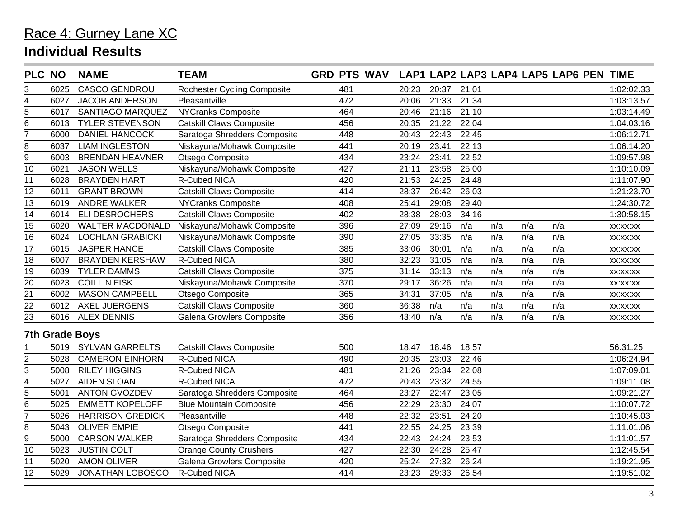| <b>PLC NO</b>   |      | <b>NAME</b>             | <b>TEAM</b>                        | <b>GRD PTS WAV</b> |       |       |       |     |     | LAP1 LAP2 LAP3 LAP4 LAP5 LAP6 PEN TIME |            |
|-----------------|------|-------------------------|------------------------------------|--------------------|-------|-------|-------|-----|-----|----------------------------------------|------------|
| 3               | 6025 | <b>CASCO GENDROU</b>    | <b>Rochester Cycling Composite</b> | 481                | 20:23 | 20:37 | 21:01 |     |     |                                        | 1:02:02.33 |
| 4               | 6027 | <b>JACOB ANDERSON</b>   | Pleasantville                      | 472                | 20:06 | 21:33 | 21:34 |     |     |                                        | 1:03:13.57 |
| $\overline{5}$  | 6017 | SANTIAGO MARQUEZ        | <b>NYCranks Composite</b>          | 464                | 20:46 | 21:16 | 21:10 |     |     |                                        | 1:03:14.49 |
| 6               | 6013 | <b>TYLER STEVENSON</b>  | <b>Catskill Claws Composite</b>    | 456                | 20:35 | 21:22 | 22:04 |     |     |                                        | 1:04:03.16 |
| $\overline{7}$  | 6000 | <b>DANIEL HANCOCK</b>   | Saratoga Shredders Composite       | 448                | 20:43 | 22:43 | 22:45 |     |     |                                        | 1:06:12.71 |
| 8               | 6037 | <b>LIAM INGLESTON</b>   | Niskayuna/Mohawk Composite         | 441                | 20:19 | 23:41 | 22:13 |     |     |                                        | 1:06:14.20 |
| 9               | 6003 | <b>BRENDAN HEAVNER</b>  | Otsego Composite                   | 434                | 23:24 | 23:41 | 22:52 |     |     |                                        | 1:09:57.98 |
| 10              | 6021 | <b>JASON WELLS</b>      | Niskayuna/Mohawk Composite         | 427                | 21:11 | 23:58 | 25:00 |     |     |                                        | 1:10:10.09 |
| 11              | 6028 | <b>BRAYDEN HART</b>     | <b>R-Cubed NICA</b>                | 420                | 21:53 | 24:25 | 24:48 |     |     |                                        | 1:11:07.90 |
| 12              | 6011 | <b>GRANT BROWN</b>      | Catskill Claws Composite           | 414                | 28:37 | 26:42 | 26:03 |     |     |                                        | 1:21:23.70 |
| $\overline{13}$ | 6019 | <b>ANDRE WALKER</b>     | <b>NYCranks Composite</b>          | 408                | 25:41 | 29:08 | 29:40 |     |     |                                        | 1:24:30.72 |
| 14              | 6014 | <b>ELI DESROCHERS</b>   | <b>Catskill Claws Composite</b>    | 402                | 28:38 | 28:03 | 34:16 |     |     |                                        | 1:30:58.15 |
| 15              | 6020 | <b>WALTER MACDONALD</b> | Niskayuna/Mohawk Composite         | 396                | 27:09 | 29:16 | n/a   | n/a | n/a | n/a                                    | XX:XX:XX   |
| 16              | 6024 | <b>LOCHLAN GRABICKI</b> | Niskayuna/Mohawk Composite         | 390                | 27:05 | 33:35 | n/a   | n/a | n/a | n/a                                    | XX:XX:XX   |
| 17              | 6015 | <b>JASPER HANCE</b>     | <b>Catskill Claws Composite</b>    | 385                | 33:06 | 30:01 | n/a   | n/a | n/a | n/a                                    | XX:XX:XX   |
| 18              | 6007 | <b>BRAYDEN KERSHAW</b>  | R-Cubed NICA                       | 380                | 32:23 | 31:05 | n/a   | n/a | n/a | n/a                                    | XX:XX:XX   |
| 19              | 6039 | <b>TYLER DAMMS</b>      | <b>Catskill Claws Composite</b>    | 375                | 31:14 | 33:13 | n/a   | n/a | n/a | n/a                                    | XX:XX:XX   |
| 20              | 6023 | <b>COILLIN FISK</b>     | Niskayuna/Mohawk Composite         | 370                | 29:17 | 36:26 | n/a   | n/a | n/a | n/a                                    | XX:XX:XX   |
| $\overline{21}$ | 6002 | <b>MASON CAMPBELL</b>   | Otsego Composite                   | 365                | 34:31 | 37:05 | n/a   | n/a | n/a | n/a                                    | XX:XX:XX   |
| 22              | 6012 | <b>AXEL JUERGENS</b>    | <b>Catskill Claws Composite</b>    | 360                | 36:38 | n/a   | n/a   | n/a | n/a | n/a                                    | XX:XX:XX   |
| 23              | 6016 | <b>ALEX DENNIS</b>      | Galena Growlers Composite          | 356                | 43:40 | n/a   | n/a   | n/a | n/a | n/a                                    | XX:XX:XX   |
|                 |      | <b>7th Grade Boys</b>   |                                    |                    |       |       |       |     |     |                                        |            |
|                 | 5019 | <b>SYLVAN GARRELTS</b>  | <b>Catskill Claws Composite</b>    | 500                | 18:47 | 18:46 | 18:57 |     |     |                                        | 56:31.25   |
| 2               | 5028 | <b>CAMERON EINHORN</b>  | <b>R-Cubed NICA</b>                | 490                | 20:35 | 23:03 | 22:46 |     |     |                                        | 1:06:24.94 |
| 3               | 5008 | <b>RILEY HIGGINS</b>    | R-Cubed NICA                       | 481                | 21:26 | 23:34 | 22:08 |     |     |                                        | 1:07:09.01 |
| 4               | 5027 | <b>AIDEN SLOAN</b>      | R-Cubed NICA                       | 472                | 20:43 | 23:32 | 24:55 |     |     |                                        | 1:09:11.08 |
| $\overline{5}$  | 5001 | <b>ANTON GVOZDEV</b>    | Saratoga Shredders Composite       | 464                | 23:27 | 22:47 | 23:05 |     |     |                                        | 1:09:21.27 |
| 6               | 5025 | <b>EMMETT KOPELOFF</b>  | <b>Blue Mountain Composite</b>     | 456                | 22:29 | 23:30 | 24:07 |     |     |                                        | 1:10:07.72 |
| 7               | 5026 | <b>HARRISON GREDICK</b> | Pleasantville                      | 448                | 22:32 | 23:51 | 24:20 |     |     |                                        | 1:10:45.03 |
| 8               | 5043 | <b>OLIVER EMPIE</b>     | Otsego Composite                   | 441                | 22:55 | 24:25 | 23:39 |     |     |                                        | 1:11:01.06 |
| 9               | 5000 | <b>CARSON WALKER</b>    | Saratoga Shredders Composite       | 434                | 22:43 | 24:24 | 23:53 |     |     |                                        | 1:11:01.57 |
| 10              | 5023 | <b>JUSTIN COLT</b>      | <b>Orange County Crushers</b>      | 427                | 22:30 | 24:28 | 25:47 |     |     |                                        | 1:12:45.54 |
| 11              | 5020 | <b>AMON OLIVER</b>      | Galena Growlers Composite          | 420                | 25:24 | 27:32 | 26:24 |     |     |                                        | 1:19:21.95 |
| $\overline{12}$ |      |                         |                                    |                    |       |       |       |     |     |                                        |            |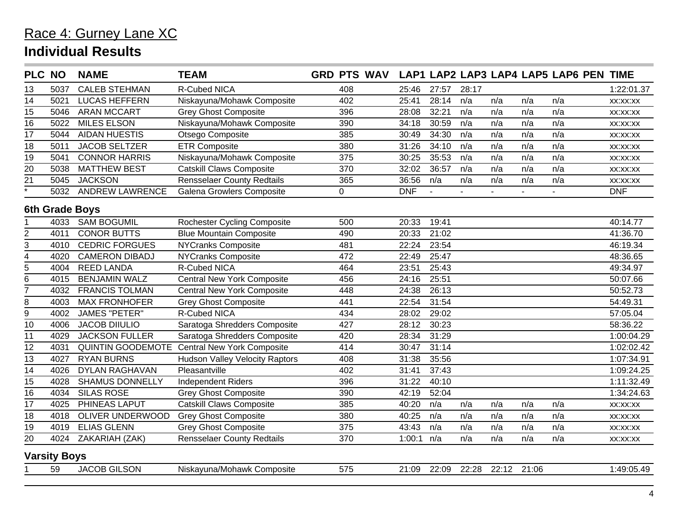|                 | <b>PLC NO</b>       | <b>NAME</b>            | <b>TEAM</b>                                  | GRD PTS WAV LAP1 LAP2 LAP3 LAP4 LAP5 LAP6 PEN TIME |            |       |       |       |       |                |            |  |  |  |
|-----------------|---------------------|------------------------|----------------------------------------------|----------------------------------------------------|------------|-------|-------|-------|-------|----------------|------------|--|--|--|
| 13              | 5037                | <b>CALEB STEHMAN</b>   | R-Cubed NICA                                 | 408                                                | 25:46      | 27:57 | 28:17 |       |       |                | 1:22:01.37 |  |  |  |
| 14              | 5021                | <b>LUCAS HEFFERN</b>   | Niskayuna/Mohawk Composite                   | 402                                                | 25:41      | 28:14 | n/a   | n/a   | n/a   | n/a            | XX:XX:XX   |  |  |  |
| $\overline{15}$ | 5046                | <b>ARAN MCCART</b>     | <b>Grey Ghost Composite</b>                  | 396                                                | 28:08      | 32:21 | n/a   | n/a   | n/a   | n/a            | XX:XX:XX   |  |  |  |
| 16              | 5022                | <b>MILES ELSON</b>     | Niskayuna/Mohawk Composite                   | 390                                                | 34:18      | 30:59 | n/a   | n/a   | n/a   | n/a            | XX:XX:XX   |  |  |  |
| 17              | 5044                | <b>AIDAN HUESTIS</b>   | Otsego Composite                             | 385                                                | 30:49      | 34:30 | n/a   | n/a   | n/a   | n/a            | XX:XX:XX   |  |  |  |
| 18              | 5011                | <b>JACOB SELTZER</b>   | <b>ETR Composite</b>                         | 380                                                | 31:26      | 34:10 | n/a   | n/a   | n/a   | n/a            | XX:XX:XX   |  |  |  |
| 19              | 5041                | <b>CONNOR HARRIS</b>   | Niskayuna/Mohawk Composite                   | 375                                                | 30:25      | 35:53 | n/a   | n/a   | n/a   | n/a            | XX:XX:XX   |  |  |  |
| 20              | 5038                | <b>MATTHEW BEST</b>    | <b>Catskill Claws Composite</b>              | 370                                                | 32:02      | 36:57 | n/a   | n/a   | n/a   | n/a            | XX:XX:XX   |  |  |  |
| 21              | 5045                | <b>JACKSON</b>         | <b>Rensselaer County Redtails</b>            | 365                                                | 36:56      | n/a   | n/a   | n/a   | n/a   | n/a            | XX:XX:XX   |  |  |  |
| $\overline{1}$  | 5032                | <b>ANDREW LAWRENCE</b> | Galena Growlers Composite                    | $\mathbf 0$                                        | <b>DNF</b> |       | ÷.    |       |       | $\blacksquare$ | <b>DNF</b> |  |  |  |
|                 | 6th Grade Boys      |                        |                                              |                                                    |            |       |       |       |       |                |            |  |  |  |
|                 | 4033                | <b>SAM BOGUMIL</b>     | <b>Rochester Cycling Composite</b>           | 500                                                | 20:33      | 19:41 |       |       |       |                | 40:14.77   |  |  |  |
| $\overline{2}$  | 4011                | <b>CONOR BUTTS</b>     | <b>Blue Mountain Composite</b>               | 490                                                | 20:33      | 21:02 |       |       |       |                | 41:36.70   |  |  |  |
| 3               | 4010                | <b>CEDRIC FORGUES</b>  | <b>NYCranks Composite</b>                    | 481                                                | 22:24      | 23:54 |       |       |       |                | 46:19.34   |  |  |  |
| 4               | 4020                | <b>CAMERON DIBADJ</b>  | <b>NYCranks Composite</b>                    | 472                                                | 22:49      | 25:47 |       |       |       |                | 48:36.65   |  |  |  |
| 5               | 4004                | <b>REED LANDA</b>      | <b>R-Cubed NICA</b>                          | 464                                                | 23:51      | 25:43 |       |       |       |                | 49:34.97   |  |  |  |
| 6               | 4015                | <b>BENJAMIN WALZ</b>   | <b>Central New York Composite</b>            | 456                                                | 24:16      | 25:51 |       |       |       |                | 50:07.66   |  |  |  |
| 7               | 4032                | <b>FRANCIS TOLMAN</b>  | <b>Central New York Composite</b>            | 448                                                | 24:38      | 26:13 |       |       |       |                | 50:52.73   |  |  |  |
| 8               | 4003                | <b>MAX FRONHOFER</b>   | <b>Grey Ghost Composite</b>                  | 441                                                | 22:54      | 31:54 |       |       |       |                | 54:49.31   |  |  |  |
| $\overline{9}$  | 4002                | <b>JAMES "PETER"</b>   | <b>R-Cubed NICA</b>                          | 434                                                | 28:02      | 29:02 |       |       |       |                | 57:05.04   |  |  |  |
| 10              | 4006                | <b>JACOB DIIULIO</b>   | Saratoga Shredders Composite                 | 427                                                | 28:12      | 30:23 |       |       |       |                | 58:36.22   |  |  |  |
| 11              | 4029                | <b>JACKSON FULLER</b>  | Saratoga Shredders Composite                 | 420                                                | 28:34      | 31:29 |       |       |       |                | 1:00:04.29 |  |  |  |
| $\overline{12}$ | 4031                |                        | QUINTIN GOODEMOTE Central New York Composite | 414                                                | 30:47      | 31:14 |       |       |       |                | 1:02:02.42 |  |  |  |
| $\overline{13}$ | 4027                | <b>RYAN BURNS</b>      | <b>Hudson Valley Velocity Raptors</b>        | 408                                                | 31:38      | 35:56 |       |       |       |                | 1:07:34.91 |  |  |  |
| 14              | 4026                | <b>DYLAN RAGHAVAN</b>  | Pleasantville                                | 402                                                | 31:41      | 37:43 |       |       |       |                | 1:09:24.25 |  |  |  |
| 15              | 4028                | <b>SHAMUS DONNELLY</b> | <b>Independent Riders</b>                    | 396                                                | 31:22      | 40:10 |       |       |       |                | 1:11:32.49 |  |  |  |
| $\overline{16}$ | 4034                | <b>SILAS ROSE</b>      | <b>Grey Ghost Composite</b>                  | 390                                                | 42:19      | 52:04 |       |       |       |                | 1:34:24.63 |  |  |  |
| 17              | 4025                | PHINEAS LAPUT          | <b>Catskill Claws Composite</b>              | 385                                                | 40:20      | n/a   | n/a   | n/a   | n/a   | n/a            | XX:XX:XX   |  |  |  |
| 18              | 4018                | OLIVER UNDERWOOD       | <b>Grey Ghost Composite</b>                  | 380                                                | 40:25      | n/a   | n/a   | n/a   | n/a   | n/a            | XX:XX:XX   |  |  |  |
| 19              | 4019                | <b>ELIAS GLENN</b>     | <b>Grey Ghost Composite</b>                  | 375                                                | 43:43      | n/a   | n/a   | n/a   | n/a   | n/a            | XX:XX:XX   |  |  |  |
| $\overline{20}$ | 4024                | ZAKARIAH (ZAK)         | <b>Rensselaer County Redtails</b>            | 370                                                | 1:00:1     | n/a   | n/a   | n/a   | n/a   | n/a            | XX:XX:XX   |  |  |  |
|                 | <b>Varsity Boys</b> |                        |                                              |                                                    |            |       |       |       |       |                |            |  |  |  |
|                 | 59                  | <b>JACOB GILSON</b>    | Niskayuna/Mohawk Composite                   | 575                                                | 21:09      | 22:09 | 22:28 | 22:12 | 21:06 |                | 1:49:05.49 |  |  |  |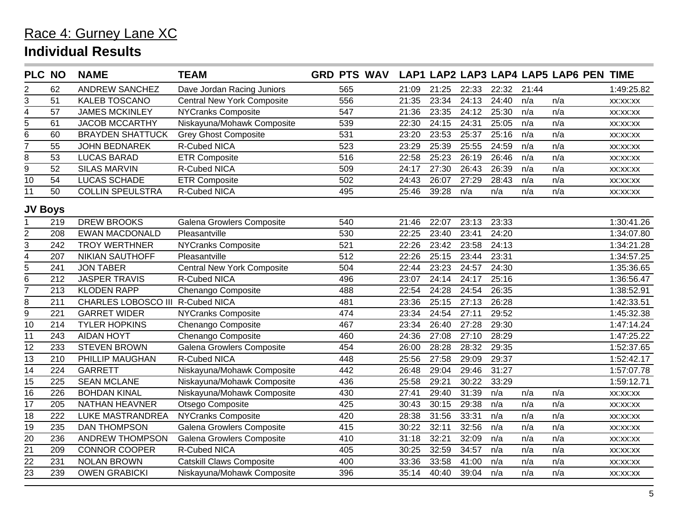|                 | <b>NAME</b>             | <b>TEAM</b>                       |                                                                                            |     |                    |       |       |       |       |     |                                        |  |  |
|-----------------|-------------------------|-----------------------------------|--------------------------------------------------------------------------------------------|-----|--------------------|-------|-------|-------|-------|-----|----------------------------------------|--|--|
| 62              | <b>ANDREW SANCHEZ</b>   | Dave Jordan Racing Juniors        |                                                                                            | 565 | 21:09              | 21:25 | 22:33 | 22:32 | 21:44 |     | 1:49:25.82                             |  |  |
| 51              | <b>KALEB TOSCANO</b>    | <b>Central New York Composite</b> |                                                                                            | 556 | 21:35              | 23:34 | 24:13 | 24:40 | n/a   | n/a | XX:XX:XX                               |  |  |
| 57              | <b>JAMES MCKINLEY</b>   | <b>NYCranks Composite</b>         |                                                                                            | 547 | 21:36              | 23:35 | 24:12 | 25:30 | n/a   | n/a | XX:XX:XX                               |  |  |
| 61              | <b>JACOB MCCARTHY</b>   | Niskayuna/Mohawk Composite        |                                                                                            | 539 | 22:30              | 24:15 | 24:31 | 25:05 | n/a   | n/a | XX:XX:XX                               |  |  |
| 60              | <b>BRAYDEN SHATTUCK</b> | <b>Grey Ghost Composite</b>       |                                                                                            | 531 | 23:20              | 23:53 | 25:37 | 25:16 | n/a   | n/a | XX:XX:XX                               |  |  |
| 55              | <b>JOHN BEDNAREK</b>    | R-Cubed NICA                      |                                                                                            | 523 | 23:29              | 25:39 | 25:55 | 24:59 | n/a   | n/a | XX:XX:XX                               |  |  |
| $\overline{53}$ | <b>LUCAS BARAD</b>      | <b>ETR Composite</b>              |                                                                                            | 516 | 22:58              | 25:23 | 26:19 | 26:46 | n/a   | n/a | XX:XX:XX                               |  |  |
| 52              | <b>SILAS MARVIN</b>     | R-Cubed NICA                      |                                                                                            | 509 | 24:17              | 27:30 | 26:43 | 26:39 | n/a   | n/a | XX:XX:XX                               |  |  |
| 54              | <b>LUCAS SCHADE</b>     | <b>ETR Composite</b>              |                                                                                            | 502 | 24:43              | 26:07 | 27:29 | 28:43 | n/a   | n/a | XX:XX:XX                               |  |  |
| 50              | <b>COLLIN SPEULSTRA</b> | R-Cubed NICA                      |                                                                                            | 495 | 25:46              | 39:28 | n/a   | n/a   | n/a   | n/a | XX:XX:XX                               |  |  |
| <b>JV Boys</b>  |                         |                                   |                                                                                            |     |                    |       |       |       |       |     |                                        |  |  |
| 219             | <b>DREW BROOKS</b>      | <b>Galena Growlers Composite</b>  |                                                                                            | 540 | 21:46              | 22:07 | 23:13 | 23:33 |       |     | 1:30:41.26                             |  |  |
| 208             | <b>EWAN MACDONALD</b>   | Pleasantville                     |                                                                                            | 530 | 22:25              | 23:40 | 23:41 | 24:20 |       |     | 1:34:07.80                             |  |  |
| 242             | <b>TROY WERTHNER</b>    | <b>NYCranks Composite</b>         |                                                                                            | 521 | 22:26              | 23:42 | 23:58 | 24:13 |       |     | 1:34:21.28                             |  |  |
| 207             | <b>NIKIAN SAUTHOFF</b>  | Pleasantville                     |                                                                                            | 512 | 22:26              | 25:15 | 23:44 | 23:31 |       |     | 1:34:57.25                             |  |  |
| 241             | <b>JON TABER</b>        | <b>Central New York Composite</b> |                                                                                            | 504 | 22:44              | 23:23 | 24:57 | 24:30 |       |     | 1:35:36.65                             |  |  |
| 212             | <b>JASPER TRAVIS</b>    | <b>R-Cubed NICA</b>               |                                                                                            | 496 | 23:07              | 24:14 | 24:17 | 25:16 |       |     | 1:36:56.47                             |  |  |
| 213             | <b>KLODEN RAPP</b>      | Chenango Composite                |                                                                                            | 488 | 22:54              | 24:28 | 24:54 | 26:35 |       |     | 1:38:52.91                             |  |  |
| 211             |                         |                                   |                                                                                            | 481 | 23:36              | 25:15 | 27:13 | 26:28 |       |     | 1:42:33.51                             |  |  |
| 221             | <b>GARRET WIDER</b>     | <b>NYCranks Composite</b>         |                                                                                            | 474 | 23:34              | 24:54 | 27:11 | 29:52 |       |     | 1:45:32.38                             |  |  |
| 214             | <b>TYLER HOPKINS</b>    | Chenango Composite                |                                                                                            | 467 | 23:34              | 26:40 | 27:28 | 29:30 |       |     | 1:47:14.24                             |  |  |
| 243             | <b>AIDAN HOYT</b>       | Chenango Composite                |                                                                                            | 460 | 24:36              | 27:08 | 27:10 | 28:29 |       |     | 1:47:25.22                             |  |  |
| 233             | <b>STEVEN BROWN</b>     |                                   |                                                                                            | 454 | 26:00              | 28:28 | 28:32 | 29:35 |       |     | 1:52:37.65                             |  |  |
| 210             | PHILLIP MAUGHAN         | R-Cubed NICA                      |                                                                                            | 448 | 25:56              | 27:58 | 29:09 | 29:37 |       |     | 1:52:42.17                             |  |  |
| 224             | <b>GARRETT</b>          | Niskayuna/Mohawk Composite        |                                                                                            | 442 | 26:48              | 29:04 | 29:46 | 31:27 |       |     | 1:57:07.78                             |  |  |
| 225             | <b>SEAN MCLANE</b>      | Niskayuna/Mohawk Composite        |                                                                                            | 436 | 25:58              | 29:21 | 30:22 | 33:29 |       |     | 1:59:12.71                             |  |  |
| 226             | <b>BOHDAN KINAL</b>     | Niskayuna/Mohawk Composite        |                                                                                            | 430 | 27:41              | 29:40 | 31:39 | n/a   | n/a   | n/a | XX:XX:XX                               |  |  |
| 205             | <b>NATHAN HEAVNER</b>   | Otsego Composite                  |                                                                                            | 425 | 30:43              | 30:15 | 29:38 | n/a   | n/a   | n/a | XX:XX:XX                               |  |  |
| 222             | <b>LUKE MASTRANDREA</b> |                                   |                                                                                            | 420 | 28:38              | 31:56 | 33:31 | n/a   | n/a   | n/a | XX:XX:XX                               |  |  |
| 235             | <b>DAN THOMPSON</b>     | Galena Growlers Composite         |                                                                                            | 415 | 30:22              |       | 32:56 | n/a   | n/a   | n/a | XX:XX:XX                               |  |  |
| 236             | <b>ANDREW THOMPSON</b>  | <b>Galena Growlers Composite</b>  |                                                                                            | 410 | 31:18              | 32:21 | 32:09 | n/a   | n/a   | n/a | XX:XX:XX                               |  |  |
| 209             | <b>CONNOR COOPER</b>    | R-Cubed NICA                      |                                                                                            | 405 | 30:25              | 32:59 | 34:57 | n/a   | n/a   | n/a | XX:XX:XX                               |  |  |
| 231             | <b>NOLAN BROWN</b>      | <b>Catskill Claws Composite</b>   |                                                                                            | 400 | 33:36              | 33:58 | 41:00 | n/a   | n/a   | n/a | XX:XX:XX                               |  |  |
| 239             | <b>OWEN GRABICKI</b>    | Niskayuna/Mohawk Composite        |                                                                                            | 396 | 35:14              | 40:40 | 39:04 | n/a   | n/a   | n/a | XX:XX:XX                               |  |  |
|                 | <b>PLC NO</b>           |                                   | CHARLES LOBOSCO III R-Cubed NICA<br>Galena Growlers Composite<br><b>NYCranks Composite</b> |     | <b>GRD PTS WAV</b> |       | 32:11 |       |       |     | LAP1 LAP2 LAP3 LAP4 LAP5 LAP6 PEN TIME |  |  |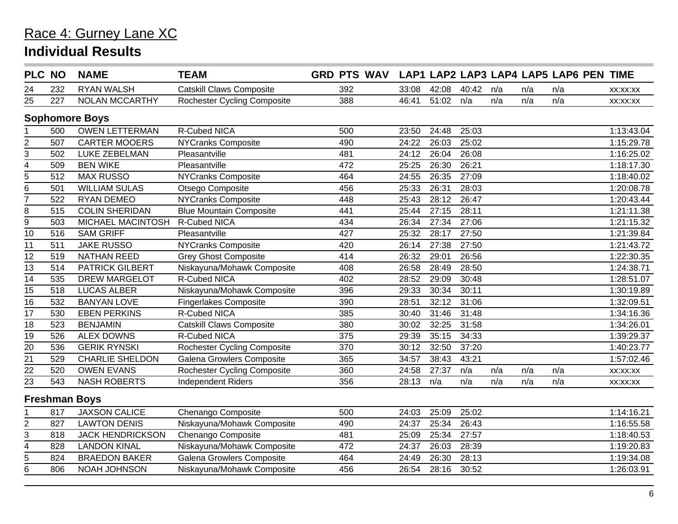|                 | <b>PLC NO</b> | <b>NAME</b>             | <b>TEAM</b>                        | <b>GRD PTS WAV</b> |       |       |       |     |     | LAP1 LAP2 LAP3 LAP4 LAP5 LAP6 PEN TIME |            |
|-----------------|---------------|-------------------------|------------------------------------|--------------------|-------|-------|-------|-----|-----|----------------------------------------|------------|
| 24              | 232           | <b>RYAN WALSH</b>       | <b>Catskill Claws Composite</b>    | 392                | 33:08 | 42:08 | 40:42 | n/a | n/a | n/a                                    | XX:XX:XX   |
| 25              | 227           | <b>NOLAN MCCARTHY</b>   | <b>Rochester Cycling Composite</b> | 388                | 46:41 | 51:02 | n/a   | n/a | n/a | n/a                                    | XX:XX:XX   |
|                 |               | <b>Sophomore Boys</b>   |                                    |                    |       |       |       |     |     |                                        |            |
|                 | 500           | <b>OWEN LETTERMAN</b>   | R-Cubed NICA                       | 500                | 23:50 | 24:48 | 25:03 |     |     |                                        | 1:13:43.04 |
| $\overline{2}$  | 507           | <b>CARTER MOOERS</b>    | <b>NYCranks Composite</b>          | 490                | 24:22 | 26:03 | 25:02 |     |     |                                        | 1:15:29.78 |
| $\overline{3}$  | 502           | LUKE ZEBELMAN           | Pleasantville                      | 481                | 24:12 | 26:04 | 26:08 |     |     |                                        | 1:16:25.02 |
| 4               | 509           | <b>BEN WIKE</b>         | Pleasantville                      | 472                | 25:25 | 26:30 | 26:21 |     |     |                                        | 1:18:17.30 |
| 5               | 512           | <b>MAX RUSSO</b>        | <b>NYCranks Composite</b>          | 464                | 24:55 | 26:35 | 27:09 |     |     |                                        | 1:18:40.02 |
| 6               | 501           | <b>WILLIAM SULAS</b>    | Otsego Composite                   | 456                | 25:33 | 26:31 | 28:03 |     |     |                                        | 1:20:08.78 |
| 7               | 522           | <b>RYAN DEMEO</b>       | <b>NYCranks Composite</b>          | 448                | 25:43 | 28:12 | 26:47 |     |     |                                        | 1:20:43.44 |
| 8               | 515           | <b>COLIN SHERIDAN</b>   | <b>Blue Mountain Composite</b>     | 441                | 25:44 | 27:15 | 28:11 |     |     |                                        | 1:21:11.38 |
| 9               | 503           | MICHAEL MACINTOSH       | <b>R-Cubed NICA</b>                | 434                | 26:34 | 27:34 | 27:06 |     |     |                                        | 1:21:15.32 |
| $\overline{10}$ | 516           | <b>SAM GRIFF</b>        | Pleasantville                      | 427                | 25:32 | 28:17 | 27:50 |     |     |                                        | 1:21:39.84 |
| 11              | 511           | <b>JAKE RUSSO</b>       | <b>NYCranks Composite</b>          | 420                | 26:14 | 27:38 | 27:50 |     |     |                                        | 1:21:43.72 |
| 12              | 519           | <b>NATHAN REED</b>      | <b>Grey Ghost Composite</b>        | 414                | 26:32 | 29:01 | 26:56 |     |     |                                        | 1:22:30.35 |
| 13              | 514           | <b>PATRICK GILBERT</b>  | Niskayuna/Mohawk Composite         | 408                | 26:58 | 28:49 | 28:50 |     |     |                                        | 1:24:38.71 |
| 14              | 535           | <b>DREW MARGELOT</b>    | <b>R-Cubed NICA</b>                | 402                | 28:52 | 29:09 | 30:48 |     |     |                                        | 1:28:51.07 |
| $\overline{15}$ | 518           | <b>LUCAS ALBER</b>      | Niskayuna/Mohawk Composite         | 396                | 29:33 | 30:34 | 30:11 |     |     |                                        | 1:30:19.89 |
| 16              | 532           | <b>BANYAN LOVE</b>      | <b>Fingerlakes Composite</b>       | 390                | 28:51 | 32:12 | 31:06 |     |     |                                        | 1:32:09.51 |
| $\overline{17}$ | 530           | <b>EBEN PERKINS</b>     | R-Cubed NICA                       | 385                | 30:40 | 31:46 | 31:48 |     |     |                                        | 1:34:16.36 |
| 18              | 523           | <b>BENJAMIN</b>         | <b>Catskill Claws Composite</b>    | 380                | 30:02 | 32:25 | 31:58 |     |     |                                        | 1:34:26.01 |
| 19              | 526           | <b>ALEX DOWNS</b>       | R-Cubed NICA                       | 375                | 29:39 | 35:15 | 34:33 |     |     |                                        | 1:39:29.37 |
| 20              | 536           | <b>GERIK RYNSKI</b>     | <b>Rochester Cycling Composite</b> | 370                | 30:12 | 32:50 | 37:20 |     |     |                                        | 1:40:23.77 |
| $\overline{21}$ | 529           | <b>CHARLIE SHELDON</b>  | Galena Growlers Composite          | 365                | 34:57 | 38:43 | 43:21 |     |     |                                        | 1:57:02.46 |
| $\overline{22}$ | 520           | <b>OWEN EVANS</b>       | <b>Rochester Cycling Composite</b> | 360                | 24:58 | 27:37 | n/a   | n/a | n/a | n/a                                    | XX:XX:XX   |
| 23              | 543           | <b>NASH ROBERTS</b>     | <b>Independent Riders</b>          | 356                | 28:13 | n/a   | n/a   | n/a | n/a | n/a                                    | XX:XX:XX   |
|                 |               | <b>Freshman Boys</b>    |                                    |                    |       |       |       |     |     |                                        |            |
|                 | 817           | <b>JAXSON CALICE</b>    | Chenango Composite                 | 500                | 24:03 | 25:09 | 25:02 |     |     |                                        | 1:14:16.21 |
| $\overline{2}$  | 827           | <b>LAWTON DENIS</b>     | Niskayuna/Mohawk Composite         | 490                | 24:37 | 25:34 | 26:43 |     |     |                                        | 1:16:55.58 |
| 3               | 818           | <b>JACK HENDRICKSON</b> | Chenango Composite                 | 481                | 25:09 | 25:34 | 27:57 |     |     |                                        | 1:18:40.53 |
| 4               | 828           | <b>LANDON KINAL</b>     | Niskayuna/Mohawk Composite         | 472                | 24:37 | 26:03 | 28:39 |     |     |                                        | 1:19:20.83 |
| 5               | 824           | <b>BRAEDON BAKER</b>    | Galena Growlers Composite          | 464                | 24:49 | 26:30 | 28:13 |     |     |                                        | 1:19:34.08 |
| $\overline{6}$  | 806           | NOAH JOHNSON            | Niskayuna/Mohawk Composite         | 456                | 26:54 | 28:16 | 30:52 |     |     |                                        | 1:26:03.91 |